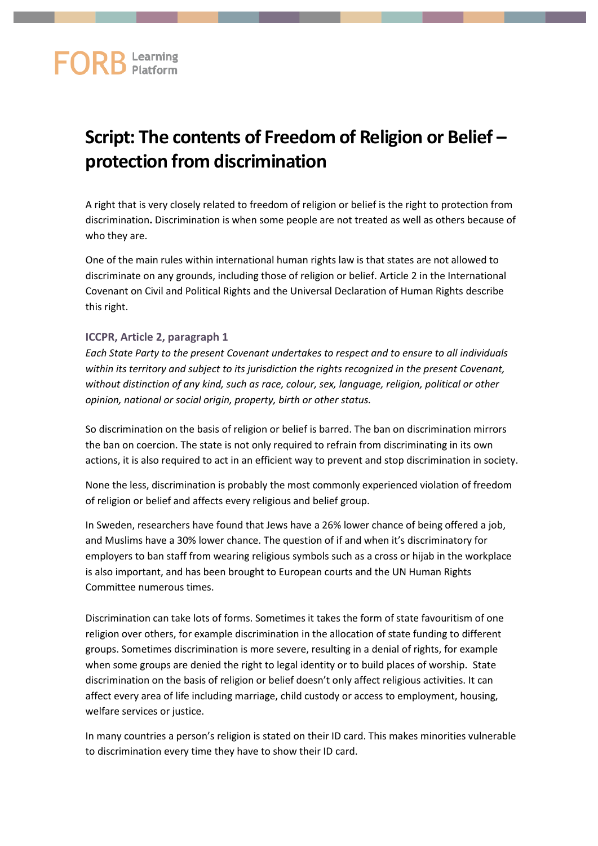## **Script: The contents of Freedom of Religion or Belief – protection from discrimination**

A right that is very closely related to freedom of religion or belief is the right to protection from discrimination**.** Discrimination is when some people are not treated as well as others because of who they are.

One of the main rules within international human rights law is that states are not allowed to discriminate on any grounds, including those of religion or belief. Article 2 in the International Covenant on Civil and Political Rights and the Universal Declaration of Human Rights describe this right.

## **ICCPR, Article 2, paragraph 1**

*Each State Party to the present Covenant undertakes to respect and to ensure to all individuals within its territory and subject to its jurisdiction the rights recognized in the present Covenant, without distinction of any kind, such as race, colour, sex, language, religion, political or other opinion, national or social origin, property, birth or other status.*

So discrimination on the basis of religion or belief is barred. The ban on discrimination mirrors the ban on coercion. The state is not only required to refrain from discriminating in its own actions, it is also required to act in an efficient way to prevent and stop discrimination in society.

None the less, discrimination is probably the most commonly experienced violation of freedom of religion or belief and affects every religious and belief group.

In Sweden, researchers have found that Jews have a 26% lower chance of being offered a job, and Muslims have a 30% lower chance. The question of if and when it's discriminatory for employers to ban staff from wearing religious symbols such as a cross or hijab in the workplace is also important, and has been brought to European courts and the UN Human Rights Committee numerous times.

Discrimination can take lots of forms. Sometimes it takes the form of state favouritism of one religion over others, for example discrimination in the allocation of state funding to different groups. Sometimes discrimination is more severe, resulting in a denial of rights, for example when some groups are denied the right to legal identity or to build places of worship. State discrimination on the basis of religion or belief doesn't only affect religious activities. It can affect every area of life including marriage, child custody or access to employment, housing, welfare services or justice.

In many countries a person's religion is stated on their ID card. This makes minorities vulnerable to discrimination every time they have to show their ID card.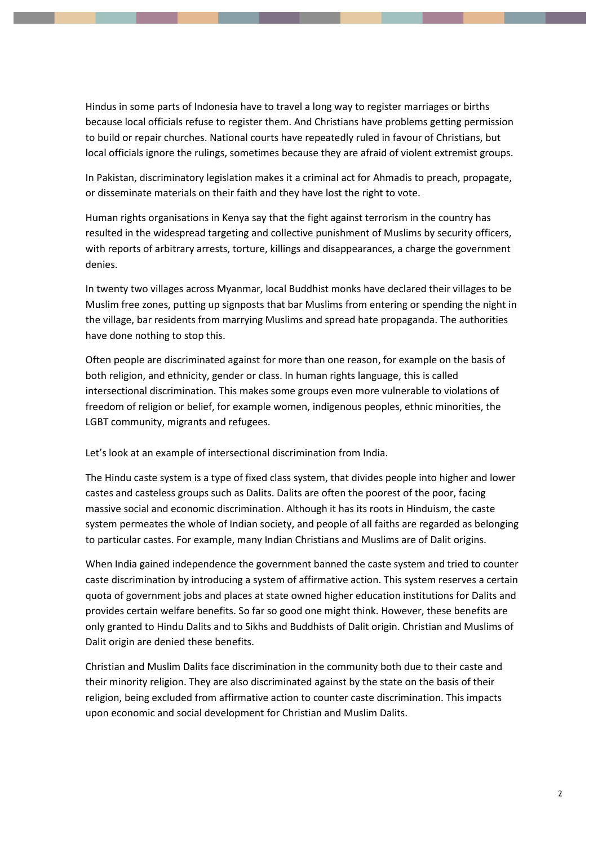Hindus in some parts of Indonesia have to travel a long way to register marriages or births because local officials refuse to register them. And Christians have problems getting permission to build or repair churches. National courts have repeatedly ruled in favour of Christians, but local officials ignore the rulings, sometimes because they are afraid of violent extremist groups.

In Pakistan, discriminatory legislation makes it a criminal act for Ahmadis to preach, propagate, or disseminate materials on their faith and they have lost the right to vote.

Human rights organisations in Kenya say that the fight against terrorism in the country has resulted in the widespread targeting and collective punishment of Muslims by security officers, with reports of arbitrary arrests, torture, killings and disappearances, a charge the government denies.

In twenty two villages across Myanmar, local Buddhist monks have declared their villages to be Muslim free zones, putting up signposts that bar Muslims from entering or spending the night in the village, bar residents from marrying Muslims and spread hate propaganda. The authorities have done nothing to stop this.

Often people are discriminated against for more than one reason, for example on the basis of both religion, and ethnicity, gender or class. In human rights language, this is called intersectional discrimination. This makes some groups even more vulnerable to violations of freedom of religion or belief, for example women, indigenous peoples, ethnic minorities, the LGBT community, migrants and refugees.

Let's look at an example of intersectional discrimination from India.

The Hindu caste system is a type of fixed class system, that divides people into higher and lower castes and casteless groups such as Dalits. Dalits are often the poorest of the poor, facing massive social and economic discrimination. Although it has its roots in Hinduism, the caste system permeates the whole of Indian society, and people of all faiths are regarded as belonging to particular castes. For example, many Indian Christians and Muslims are of Dalit origins.

When India gained independence the government banned the caste system and tried to counter caste discrimination by introducing a system of affirmative action. This system reserves a certain quota of government jobs and places at state owned higher education institutions for Dalits and provides certain welfare benefits. So far so good one might think. However, these benefits are only granted to Hindu Dalits and to Sikhs and Buddhists of Dalit origin. Christian and Muslims of Dalit origin are denied these benefits.

Christian and Muslim Dalits face discrimination in the community both due to their caste and their minority religion. They are also discriminated against by the state on the basis of their religion, being excluded from affirmative action to counter caste discrimination. This impacts upon economic and social development for Christian and Muslim Dalits.